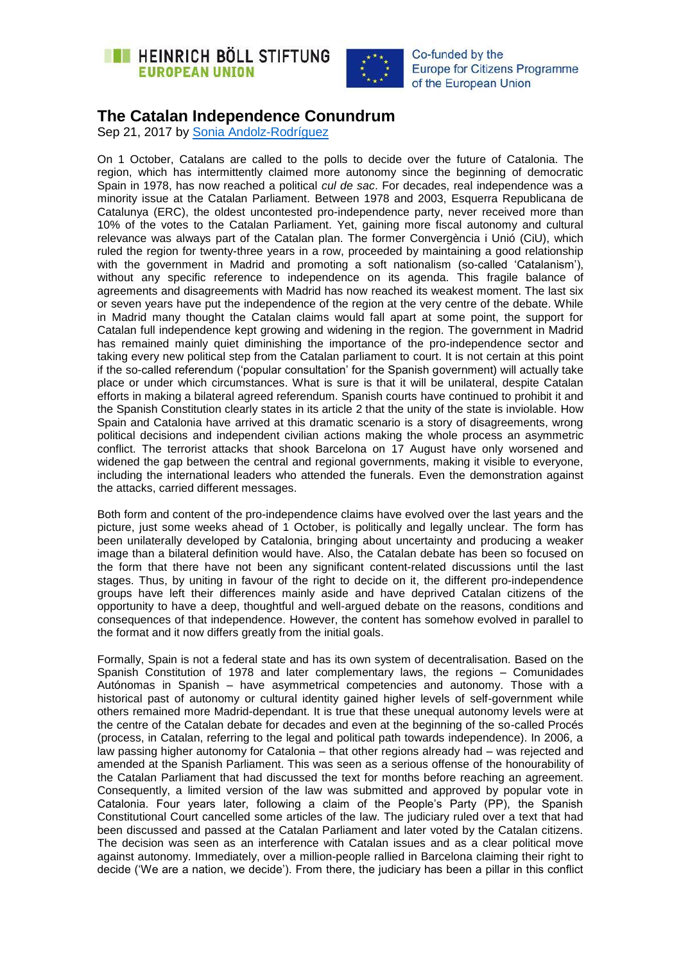



## **The Catalan Independence Conundrum**

Sep 21, 2017 by [Sonia Andolz-Rodríguez](https://eu.boell.org/en/person/sonia-andolz-rodriguez)

On 1 October, Catalans are called to the polls to decide over the future of Catalonia. The region, which has intermittently claimed more autonomy since the beginning of democratic Spain in 1978, has now reached a political *cul de sac*. For decades, real independence was a minority issue at the Catalan Parliament. Between 1978 and 2003, Esquerra Republicana de Catalunya (ERC), the oldest uncontested pro-independence party, never received more than 10% of the votes to the Catalan Parliament. Yet, gaining more fiscal autonomy and cultural relevance was always part of the Catalan plan. The former Convergència i Unió (CiU), which ruled the region for twenty-three years in a row, proceeded by maintaining a good relationship with the government in Madrid and promoting a soft nationalism (so-called 'Catalanism'), without any specific reference to independence on its agenda. This fragile balance of agreements and disagreements with Madrid has now reached its weakest moment. The last six or seven years have put the independence of the region at the very centre of the debate. While in Madrid many thought the Catalan claims would fall apart at some point, the support for Catalan full independence kept growing and widening in the region. The government in Madrid has remained mainly quiet diminishing the importance of the pro-independence sector and taking every new political step from the Catalan parliament to court. It is not certain at this point if the so-called referendum ('popular consultation' for the Spanish government) will actually take place or under which circumstances. What is sure is that it will be unilateral, despite Catalan efforts in making a bilateral agreed referendum. Spanish courts have continued to prohibit it and the Spanish Constitution clearly states in its article 2 that the unity of the state is inviolable. How Spain and Catalonia have arrived at this dramatic scenario is a story of disagreements, wrong political decisions and independent civilian actions making the whole process an asymmetric conflict. The terrorist attacks that shook Barcelona on 17 August have only worsened and widened the gap between the central and regional governments, making it visible to everyone, including the international leaders who attended the funerals. Even the demonstration against the attacks, carried different messages.

Both form and content of the pro-independence claims have evolved over the last years and the picture, just some weeks ahead of 1 October, is politically and legally unclear. The form has been unilaterally developed by Catalonia, bringing about uncertainty and producing a weaker image than a bilateral definition would have. Also, the Catalan debate has been so focused on the form that there have not been any significant content-related discussions until the last stages. Thus, by uniting in favour of the right to decide on it, the different pro-independence groups have left their differences mainly aside and have deprived Catalan citizens of the opportunity to have a deep, thoughtful and well-argued debate on the reasons, conditions and consequences of that independence. However, the content has somehow evolved in parallel to the format and it now differs greatly from the initial goals.

Formally, Spain is not a federal state and has its own system of decentralisation. Based on the Spanish Constitution of 1978 and later complementary laws, the regions – Comunidades Autónomas in Spanish – have asymmetrical competencies and autonomy. Those with a historical past of autonomy or cultural identity gained higher levels of self-government while others remained more Madrid-dependant. It is true that these unequal autonomy levels were at the centre of the Catalan debate for decades and even at the beginning of the so-called Procés (process, in Catalan, referring to the legal and political path towards independence). In 2006, a law passing higher autonomy for Catalonia – that other regions already had – was rejected and amended at the Spanish Parliament. This was seen as a serious offense of the honourability of the Catalan Parliament that had discussed the text for months before reaching an agreement. Consequently, a limited version of the law was submitted and approved by popular vote in Catalonia. Four years later, following a claim of the People's Party (PP), the Spanish Constitutional Court cancelled some articles of the law. The judiciary ruled over a text that had been discussed and passed at the Catalan Parliament and later voted by the Catalan citizens. The decision was seen as an interference with Catalan issues and as a clear political move against autonomy. Immediately, over a million-people rallied in Barcelona claiming their right to decide ('We are a nation, we decide'). From there, the judiciary has been a pillar in this conflict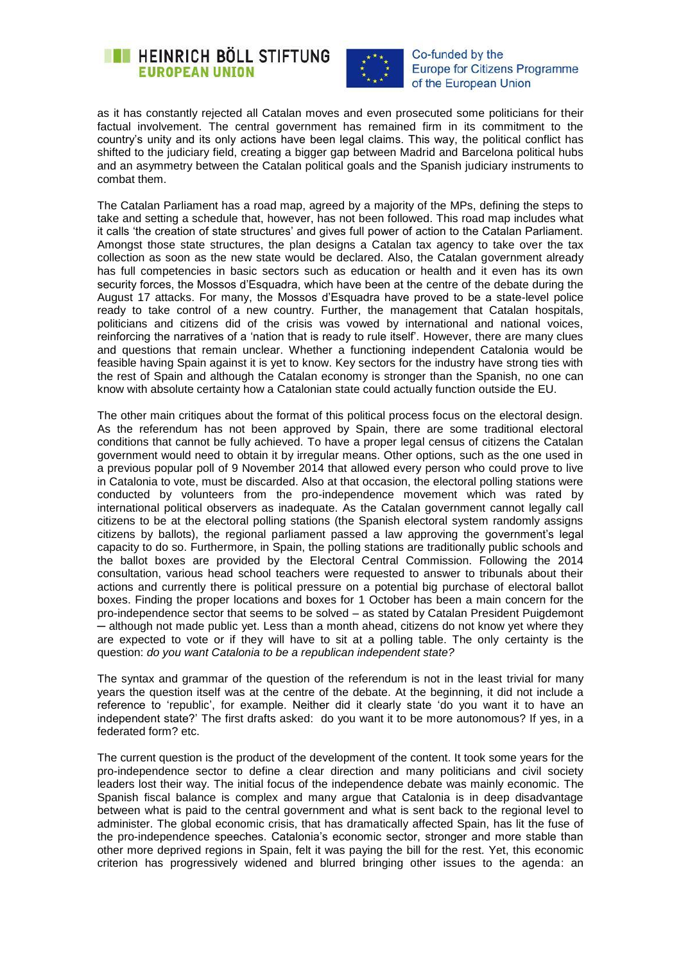



as it has constantly rejected all Catalan moves and even prosecuted some politicians for their factual involvement. The central government has remained firm in its commitment to the country's unity and its only actions have been legal claims. This way, the political conflict has shifted to the judiciary field, creating a bigger gap between Madrid and Barcelona political hubs and an asymmetry between the Catalan political goals and the Spanish judiciary instruments to combat them.

The Catalan Parliament has a road map, agreed by a majority of the MPs, defining the steps to take and setting a schedule that, however, has not been followed. This road map includes what it calls 'the creation of state structures' and gives full power of action to the Catalan Parliament. Amongst those state structures, the plan designs a Catalan tax agency to take over the tax collection as soon as the new state would be declared. Also, the Catalan government already has full competencies in basic sectors such as education or health and it even has its own security forces, the Mossos d'Esquadra, which have been at the centre of the debate during the August 17 attacks. For many, the Mossos d'Esquadra have proved to be a state-level police ready to take control of a new country. Further, the management that Catalan hospitals, politicians and citizens did of the crisis was vowed by international and national voices, reinforcing the narratives of a 'nation that is ready to rule itself'. However, there are many clues and questions that remain unclear. Whether a functioning independent Catalonia would be feasible having Spain against it is yet to know. Key sectors for the industry have strong ties with the rest of Spain and although the Catalan economy is stronger than the Spanish, no one can know with absolute certainty how a Catalonian state could actually function outside the EU.

The other main critiques about the format of this political process focus on the electoral design. As the referendum has not been approved by Spain, there are some traditional electoral conditions that cannot be fully achieved. To have a proper legal census of citizens the Catalan government would need to obtain it by irregular means. Other options, such as the one used in a previous popular poll of 9 November 2014 that allowed every person who could prove to live in Catalonia to vote, must be discarded. Also at that occasion, the electoral polling stations were conducted by volunteers from the pro-independence movement which was rated by international political observers as inadequate. As the Catalan government cannot legally call citizens to be at the electoral polling stations (the Spanish electoral system randomly assigns citizens by ballots), the regional parliament passed a law approving the government's legal capacity to do so. Furthermore, in Spain, the polling stations are traditionally public schools and the ballot boxes are provided by the Electoral Central Commission. Following the 2014 consultation, various head school teachers were requested to answer to tribunals about their actions and currently there is political pressure on a potential big purchase of electoral ballot boxes. Finding the proper locations and boxes for 1 October has been a main concern for the pro-independence sector that seems to be solved – as stated by Catalan President Puigdemont ─ although not made public yet. Less than a month ahead, citizens do not know yet where they are expected to vote or if they will have to sit at a polling table. The only certainty is the question: *do you want Catalonia to be a republican independent state?*

The syntax and grammar of the question of the referendum is not in the least trivial for many years the question itself was at the centre of the debate. At the beginning, it did not include a reference to 'republic', for example. Neither did it clearly state 'do you want it to have an independent state?' The first drafts asked: do you want it to be more autonomous? If yes, in a federated form? etc.

The current question is the product of the development of the content. It took some years for the pro-independence sector to define a clear direction and many politicians and civil society leaders lost their way. The initial focus of the independence debate was mainly economic. The Spanish fiscal balance is complex and many argue that Catalonia is in deep disadvantage between what is paid to the central government and what is sent back to the regional level to administer. The global economic crisis, that has dramatically affected Spain, has lit the fuse of the pro-independence speeches. Catalonia's economic sector, stronger and more stable than other more deprived regions in Spain, felt it was paying the bill for the rest. Yet, this economic criterion has progressively widened and blurred bringing other issues to the agenda: an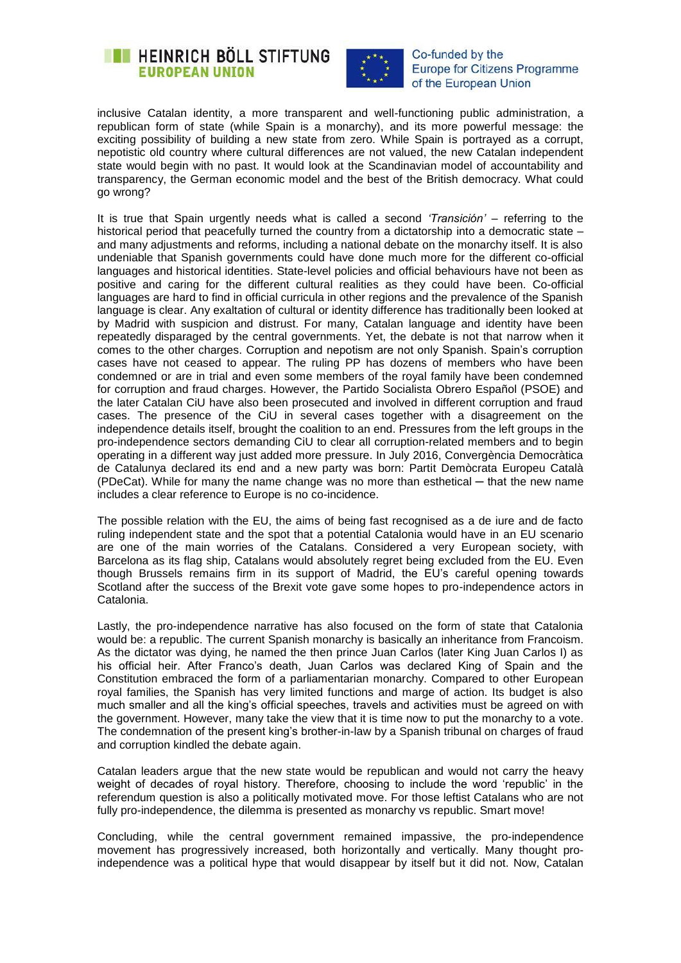



inclusive Catalan identity, a more transparent and well-functioning public administration, a republican form of state (while Spain is a monarchy), and its more powerful message: the exciting possibility of building a new state from zero. While Spain is portrayed as a corrupt, nepotistic old country where cultural differences are not valued, the new Catalan independent state would begin with no past. It would look at the Scandinavian model of accountability and transparency, the German economic model and the best of the British democracy. What could go wrong?

It is true that Spain urgently needs what is called a second *'Transición'* – referring to the historical period that peacefully turned the country from a dictatorship into a democratic state – and many adjustments and reforms, including a national debate on the monarchy itself. It is also undeniable that Spanish governments could have done much more for the different co-official languages and historical identities. State-level policies and official behaviours have not been as positive and caring for the different cultural realities as they could have been. Co-official languages are hard to find in official curricula in other regions and the prevalence of the Spanish language is clear. Any exaltation of cultural or identity difference has traditionally been looked at by Madrid with suspicion and distrust. For many, Catalan language and identity have been repeatedly disparaged by the central governments. Yet, the debate is not that narrow when it comes to the other charges. Corruption and nepotism are not only Spanish. Spain's corruption cases have not ceased to appear. The ruling PP has dozens of members who have been condemned or are in trial and even some members of the royal family have been condemned for corruption and fraud charges. However, the Partido Socialista Obrero Español (PSOE) and the later Catalan CiU have also been prosecuted and involved in different corruption and fraud cases. The presence of the CiU in several cases together with a disagreement on the independence details itself, brought the coalition to an end. Pressures from the left groups in the pro-independence sectors demanding CiU to clear all corruption-related members and to begin operating in a different way just added more pressure. In July 2016, Convergència Democràtica de Catalunya declared its end and a new party was born: Partit Demòcrata Europeu Català (PDeCat). While for many the name change was no more than esthetical — that the new name includes a clear reference to Europe is no co-incidence.

The possible relation with the EU, the aims of being fast recognised as a de iure and de facto ruling independent state and the spot that a potential Catalonia would have in an EU scenario are one of the main worries of the Catalans. Considered a very European society, with Barcelona as its flag ship, Catalans would absolutely regret being excluded from the EU. Even though Brussels remains firm in its support of Madrid, the EU's careful opening towards Scotland after the success of the Brexit vote gave some hopes to pro-independence actors in Catalonia.

Lastly, the pro-independence narrative has also focused on the form of state that Catalonia would be: a republic. The current Spanish monarchy is basically an inheritance from Francoism. As the dictator was dying, he named the then prince Juan Carlos (later King Juan Carlos I) as his official heir. After Franco's death, Juan Carlos was declared King of Spain and the Constitution embraced the form of a parliamentarian monarchy. Compared to other European royal families, the Spanish has very limited functions and marge of action. Its budget is also much smaller and all the king's official speeches, travels and activities must be agreed on with the government. However, many take the view that it is time now to put the monarchy to a vote. The condemnation of the present king's brother-in-law by a Spanish tribunal on charges of fraud and corruption kindled the debate again.

Catalan leaders argue that the new state would be republican and would not carry the heavy weight of decades of royal history. Therefore, choosing to include the word 'republic' in the referendum question is also a politically motivated move. For those leftist Catalans who are not fully pro-independence, the dilemma is presented as monarchy vs republic. Smart move!

Concluding, while the central government remained impassive, the pro-independence movement has progressively increased, both horizontally and vertically. Many thought proindependence was a political hype that would disappear by itself but it did not. Now, Catalan